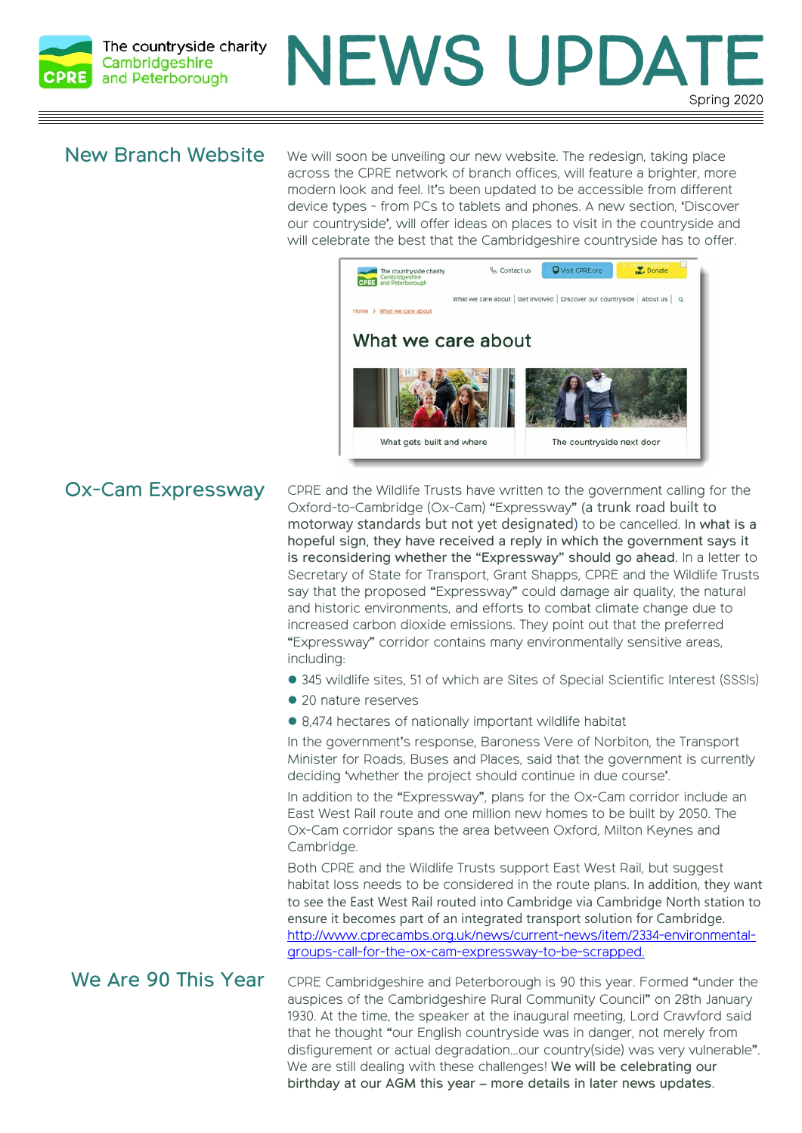

# Spring 2020 NEWS UPDAT

#### New Branch Website

We will soon be unveiling our new website. The redesign, taking place across the CPRE network of branch offices, will feature a brighter, more modern look and feel. It's been updated to be accessible from different device types - from PCs to tablets and phones. A new section, 'Discover our countryside', will offer ideas on places to visit in the countryside and will celebrate the best that the Cambridgeshire countryside has to offer.



## Ox-Cam Expressway

CPRE and the Wildlife Trusts have written to the government calling for the Oxford-to-Cambridge (Ox-Cam) "Expressway" (a trunk road built to motorway standards but not yet designated) to be cancelled. In what is a hopeful sign, they have received a reply in which the government says it is reconsidering whether the "Expressway" should go ahead. In a letter to Secretary of State for Transport, Grant Shapps, CPRE and the Wildlife Trusts say that the proposed "Expressway" could damage air quality, the natural and historic environments, and efforts to combat climate change due to increased carbon dioxide emissions. They point out that the preferred "Expressway" corridor contains many environmentally sensitive areas, including:

- � 345 wildlife sites, 51 of which are Sites of Special Scientific Interest (SSSIs)
- 20 nature reserves
- 8,474 hectares of nationally important wildlife habitat

In the government's response, Baroness Vere of Norbiton, the Transport Minister for Roads, Buses and Places, said that the government is currently deciding 'whether the project should continue in due course'.

In addition to the "Expressway", plans for the Ox-Cam corridor include an East West Rail route and one million new homes to be built by 2050. The Ox-Cam corridor spans the area between Oxford, Milton Keynes and Cambridge.

Both CPRE and the Wildlife Trusts support East West Rail, but suggest habitat loss needs to be considered in the route plans. In addition, they want to see the East West Rail routed into Cambridge via Cambridge North station to ensure it becomes part of an integrated transport solution for Cambridge. http://www.cprecambs.org.uk/news/current-news/item/2334-environmentalgroups-call-for-the-ox-cam-expressway-to-be-scrapped.

CPRE Cambridgeshire and Peterborough is 90 this year. Formed "under the auspices of the Cambridgeshire Rural Community Council" on 28th January 1930. At the time, the speaker at the inaugural meeting, Lord Crawford said that he thought "our English countryside was in danger, not merely from disfigurement or actual degradation…our country(side) was very vulnerable". We are still dealing with these challenges! We will be celebrating our birthday at our AGM this year – more details in later news updates. We Are 90 This Year